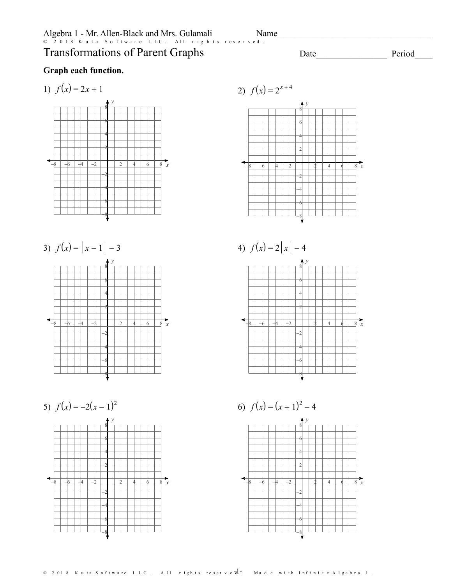Algebra 1 - Mr. Allen-Black and Mrs. Gulamali Transformations of Parent Graphs  $Name$   $\Box$ © 2018 Kuta Software LLC. All rights reserved.

**Graph each function.**

1) 
$$
f(x) = 2x + 1
$$

*x y*  $-8$   $-6$   $-4$   $-2$   $-2$   $-1$   $2$   $4$   $-6$   $-8$   $x$ -2<br>-4<br>-6<br>-8 <del>2 | | | | | | | | |</del> <del>4 | | | | | | | |</del> 6 - - - - - - - - -8 - - - - - - - - - -



5)  $f(x) = -2(x-1)^2$ *y*  $-8$   $-6$   $-4$   $-2$   $1$   $2$   $4$   $6$   $8$  x -8-6-4-2 2 4<del>. . . . . . . . . . . . . .</del> 6 + + + + + + 8 - <del>1 - 1 - 1 - 1 - 1 - 1</del>



Date Period

4) 
$$
f(x) = 2|x| - 4
$$





1)  $f(x) = 2x + 1$ 2)  $f(x) = 2^{x+4}$ 

© 2018 Kuta Software LLC. All rights reserve $\overline{d}$ . Made with Infinite Algebra 1.

*x*